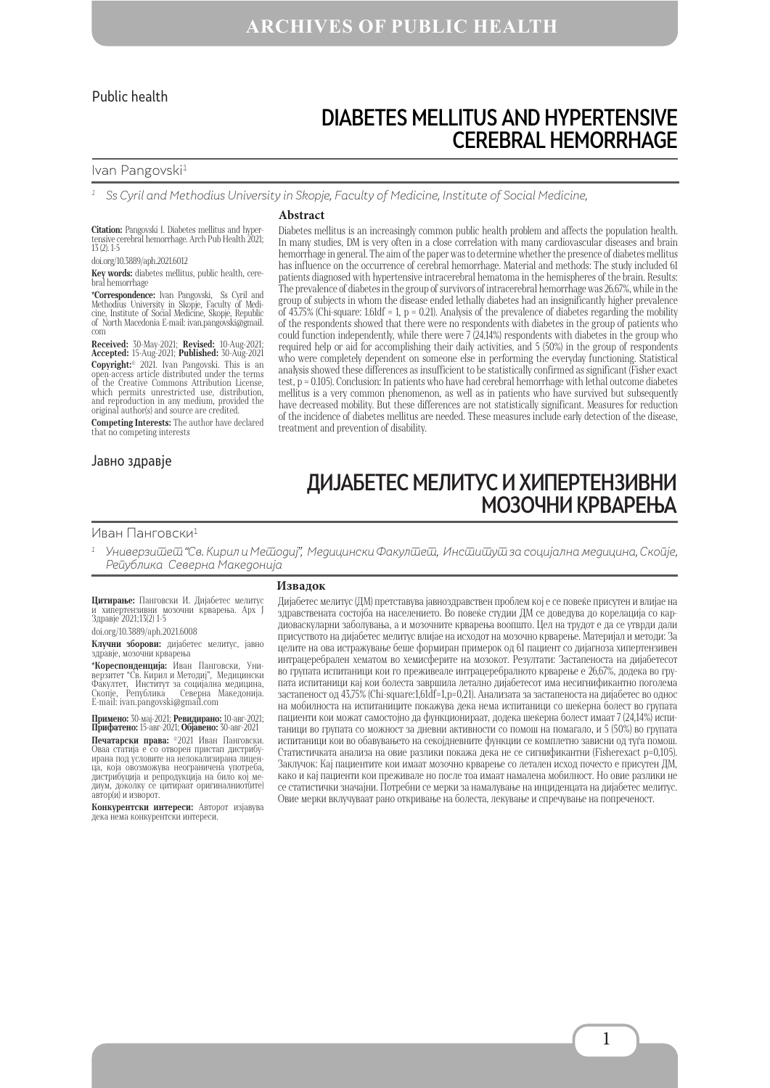### Public health

# DIABETES MELLITUS AND HYPERTENSIVE CEREBRAL HEMORRHAGE

#### Ivan Pangovski<sup>1</sup>

1 Ss Cyril and Methodius University in Skopje, Faculty of Medicine, Institute of Social Medicine,

#### **Citation:** Pangovski I. Diabetes mellitus and hyper- tensive cerebral hemorrhage. Arch Pub Health 2021; 13 (2). 1-5

doi.org/10.3889/aph.2021.6012

**Key words:** diabetes mellitus, public health, cere-bral hemorrhage

**\*Correspondence:** Ivan Pangovski, Ss Cyril and Methodius University in Skopje, Faculty of Medi- cine, Institute of Social Medicine, Skopje, Republic of North Macedonia Е-mail: ivan.pangovski@gmail. com

**Received:** 30-Маy-2021; **Revised:** 10-Aug-2021; **Accepted:** 15-Aug-2021; **Published:** 30-Aug-2021 **Copyright:**© 2021. Ivan Pangovski. This is an open-access article distributed under the terms of the Creative Commons Attribution License, which permits unrestricted use, distribution, and reproduction in any medium, provided the original author(s) and source are credited.

**Competing Interests:** The author have declared that no competing interests

#### Јавно здравје

### **Abstract**

Diabetes mellitus is an increasingly common public health problem and affects the population health. In many studies, DM is very often in a close correlation with many cardiovascular diseases and brain hemorrhage in general. The aim of the paper was to determine whether the presence of diabetes mellitus has influence on the occurrence of cerebral hemorrhage. Material and methods: The study included 61 patients diagnosed with hypertensive intracerebral hematoma in the hemispheres of the brain. Results: The prevalence of diabetes in the group of survivors of intracerebral hemorrhage was 26.67%, while in the group of subjects in whom the disease ended lethally diabetes had an insignificantly higher prevalence of 43.75% (Chi-square: 1.61df = 1, p = 0.21). Analysis of the prevalence of diabetes regarding the mobility of the respondents showed that there were no respondents with diabetes in the group of patients who could function independently, while there were  $7(24.14%)$  respondents with diabetes in the group who required help or aid for accomplishing their daily activities, and 5 (50%) in the group of respondents who were completely dependent on someone else in performing the everyday functioning. Statistical analysis showed these differences as insufficient to be statistically confirmed as significant (Fisher exact test,  $p = 0.105$ ). Conclusion: In patients who have had cerebral hemorrhage with lethal outcome diabetes mellitus is a very common phenomenon, as well as in patients who have survived but subsequently have decreased mobility. But these differences are not statistically significant. Measures for reduction of the incidence of diabetes mellitus are needed. These measures include early detection of the disease, treatment and prevention of disability.

# ДИЈАБЕТЕС МЕЛИТУС И ХИПЕРТЕНЗИВНИ МОЗОЧНИ КРВАРЕЊА

#### Иван Панговски<sup>1</sup>

Универзишеш "Св. Кирил и Мешодиј", Медицински Факулшеш, Инсшишуш за социјална медицина, Скойје, Република Северна Македонија

#### **Извадок**

**Цитирање:** Панговски И. Дијабетес мелитус и хипертензивни мозочни крварења. Арх Ј Здравје 2021;13(2) 1-5

### doi.org/10.3889/aph.2021.6008

**Клучни зборови:** дијабетес мелитус, јавно здравје, мозочни крварења

**\*Кореспонденција:** Иван Панговски, Уни-<br>верзитет "Св. Кирил и Методиј", Медицински<br>Факултет, Институт за социјална медицина,<br>Скопје, Република - Северна Македонија. E-mail: ivan.pangovski@gmail.com

**Примено:** 30-мај-2021; **Ревидирано:** 10-авг-2021; **Прифатено:** 15-авг-2021; **Објавено:** 30-авг-2021

**Печатарски права:** ©2021 Иван Панговски. Оваа статија е со отворен пристап дистрибу- ирана под условите на нелокализирана лиценличил ими условите на половативнена употреба, дистрибуција и репродукција на било кој ме-диум, доколку се цитираат оригиналниот(ите) автор(и) и изворот.

**Конкурентски интереси:** Авторот изјавува дека нема конкурентски интереси.

Дијабетес мелитус (ДМ) претставува јавноздравствен проблем кој е се повеќе присутен и влијае на здравствената состојба на населението. Во повеќе студии ДМ се доведува до корелација со кардиоваскуларни заболувања, а и мозочните крварења воопшто. Цел на трудот е да се утврди дали присуството на дијабетес мелитус влијае на исходот на мозочно крварење. Материјал и методи: За целите на ова истражување беше формиран примерок од 61 пациент со дијагноза хипертензивен интрацеребрален хематом во хемисферите на мозокот. Резултати: Застапеноста на дијабетесот во групата испитаници кои го преживеале интрацеребралното крварење е 26,67%, додека во групата испитаници кај кои болеста завршила летално дијабетесот има несигнификантно поголема застапеност од 43,75% (Chi-square:1,61df=1,p=0,21). Анализата за застапеноста на дијабетес во однос на мобилноста на испитаниците покажува дека нема испитаници со шеќерна болест во групата пациенти кои можат самостојно да функционираат, додека шеќерна болест имаат 7 (24,14%) испитаници во групата со можност за дневни активности со помош на помагало, и 5 (50%) во групата испитаници кои во обавувањето на секојдневните функции се комплетно зависни од туѓа помош. Статистичката анализа на овие разлики покажа дека не се сигнификантни (Fisherexact p=0,105). Заклучок: Кај пациентите кои имаат мозочно крварење со летален исход почесто е присутен ДМ, како и кај пациенти кои преживале но после тоа имаат намалена мобилност. Но овие разлики не се статистички значајни. Потребни се мерки за намалување на инциденцата на дијабетес мелитус. Овие мерки вклучуваат рано откривање на болеста, лекување и спречување на попреченост.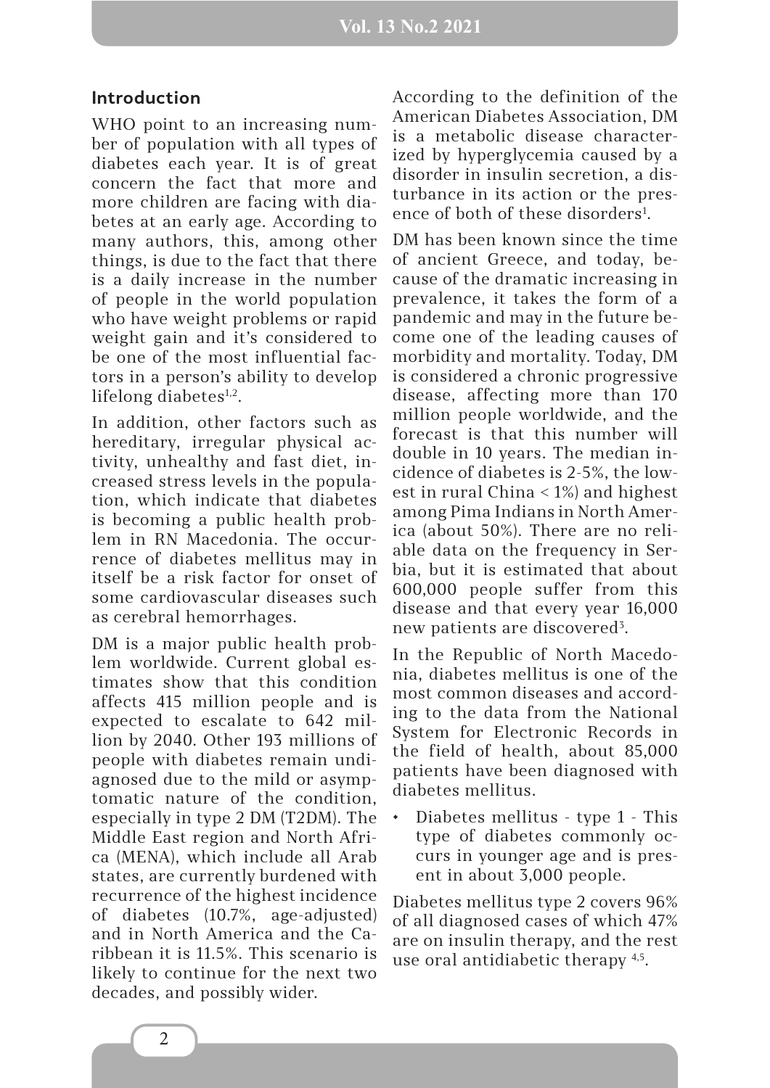### **Introduction**

WHO point to an increasing number of population with all types of diabetes each year. It is of great concern the fact that more and more children are facing with diabetes at an early age. According to many authors, this, among other things, is due to the fact that there is a daily increase in the number of people in the world population who have weight problems or rapid weight gain and it's considered to be one of the most influential factors in a person's ability to develop lifelong diabetes $1,2$ .

In addition, other factors such as hereditary, irregular physical activity, unhealthy and fast diet, increased stress levels in the population, which indicate that diabetes is becoming a public health problem in RN Macedonia. The occurrence of diabetes mellitus may in itself be a risk factor for onset of some cardiovascular diseases such as cerebral hemorrhages.

DM is a major public health problem worldwide. Current global estimates show that this condition affects 415 million people and is expected to escalate to 642 million by 2040. Other 193 millions of people with diabetes remain undiagnosed due to the mild or asymptomatic nature of the condition, especially in type 2 DM (T2DM). The Middle East region and North Africa (MENA), which include all Arab states, are currently burdened with recurrence of the highest incidence of diabetes (10.7%, age-adjusted) and in North America and the Caribbean it is 11.5%. This scenario is likely to continue for the next two decades, and possibly wider.

According to the definition of the American Diabetes Association, DM is a metabolic disease characterized by hyperglycemia caused by a disorder in insulin secretion, a disturbance in its action or the presence of both of these disorders<sup>1</sup>.

DM has been known since the time of ancient Greece, and today, because of the dramatic increasing in prevalence, it takes the form of a pandemic and may in the future become one of the leading causes of morbidity and mortality. Today, DM is considered a chronic progressive disease, affecting more than 170 million people worldwide, and the forecast is that this number will double in 10 years. The median incidence of diabetes is 2-5%, the lowest in rural China < 1%) and highest among Pima Indians in North America (about 50%). There are no reliable data on the frequency in Serbia, but it is estimated that about 600,000 people suffer from this disease and that every year 16,000 new patients are discovered<sup>3</sup>.

In the Republic of North Macedonia, diabetes mellitus is one of the most common diseases and according to the data from the National System for Electronic Records in the field of health, about 85,000 patients have been diagnosed with diabetes mellitus.

• Diabetes mellitus - type 1 - This type of diabetes commonly occurs in younger age and is present in about 3,000 people.

Diabetes mellitus type 2 covers 96% of all diagnosed cases of which 47% are on insulin therapy, and the rest use oral antidiabetic therapy 4,5.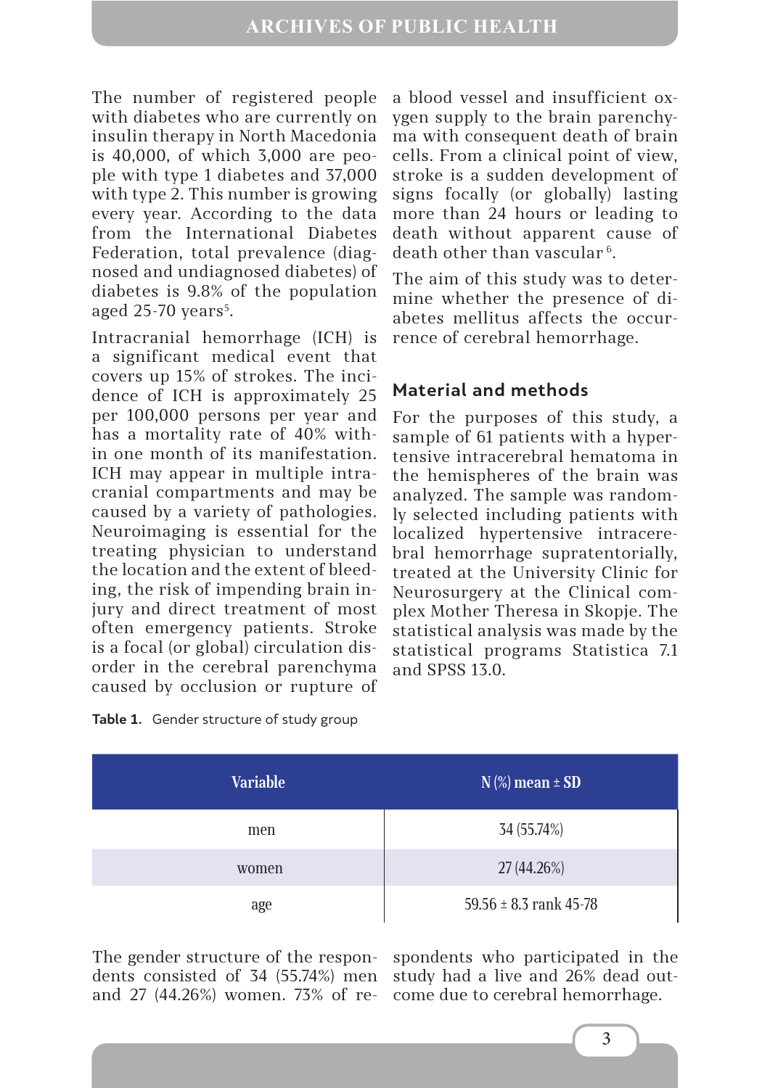The number of registered people with diabetes who are currently on insulin therapy in North Macedonia is 40,000, of which 3,000 are people with type 1 diabetes and 37,000 with type 2. This number is growing every year. According to the data from the International Diabetes Federation, total prevalence (diagnosed and undiagnosed diabetes) of diabetes is 9.8% of the population aged  $25-70$  years<sup>5</sup>.

Intracranial hemorrhage (ICH) is a significant medical event that covers up 15% of strokes. The incidence of ICH is approximately 25 per 100,000 persons per year and has a mortality rate of 40% within one month of its manifestation. ICH may appear in multiple intracranial compartments and may be caused by a variety of pathologies. Neuroimaging is essential for the treating physician to understand the location and the extent of bleeding, the risk of impending brain injury and direct treatment of most often emergency patients. Stroke is a focal (or global) circulation disorder in the cerebral parenchyma caused by occlusion or rupture of

|  | Table 1. Gender structure of study group |  |  |
|--|------------------------------------------|--|--|
|--|------------------------------------------|--|--|

**Material and methods** For the purposes of this study, a sample of 61 patients with a hypertensive intracerebral hematoma in the hemispheres of the brain was analyzed. The sample was randomly selected including patients with

localized hypertensive intracerebral hemorrhage supratentorially, treated at the University Clinic for Neurosurgery at the Clinical complex Mother Theresa in Skopje. The statistical analysis was made by the statistical programs Statistica 7.1 and SPSS 13.0.

a blood vessel and insufficient oxygen supply to the brain parenchyma with consequent death of brain cells. From a clinical point of view, stroke is a sudden development of signs focally (or globally) lasting more than 24 hours or leading to death without apparent cause of

death other than vascular<sup>6</sup>.

rence of cerebral hemorrhage.

The aim of this study was to determine whether the presence of diabetes mellitus affects the occur-

| <b>Variable</b> | $N$ (%) mean $\pm$ SD      |  |
|-----------------|----------------------------|--|
| men             | 34 (55.74%)                |  |
| women           | 27 (44.26%)                |  |
| age             | 59.56 $\pm$ 8.3 rank 45-78 |  |

The gender structure of the respondents consisted of 34 (55.74%) men and 27 (44.26%) women. 73% of respondents who participated in the study had a live and 26% dead outcome due to cerebral hemorrhage.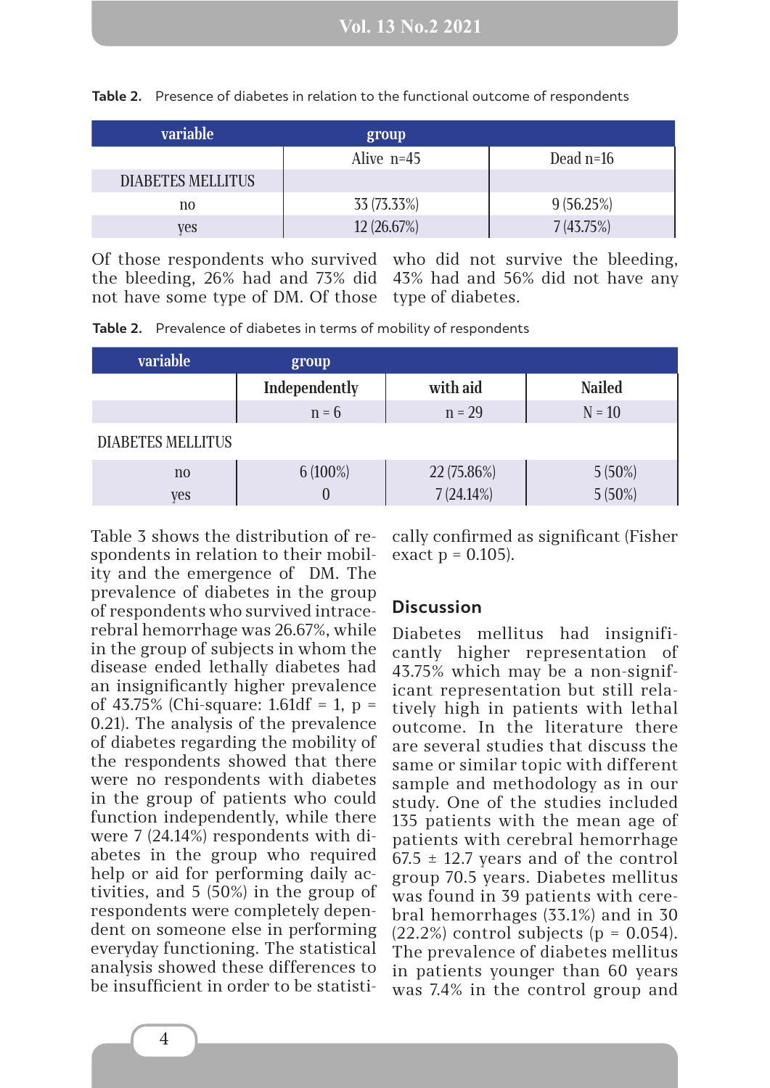| variable                 | group        |             |
|--------------------------|--------------|-------------|
|                          | Alive $n=45$ | Dead $n=16$ |
| <b>DIABETES MELLITUS</b> |              |             |
| no                       | 33 (73.33%)  | 9(56.25%)   |
| ves                      | 12 (26.67%)  | 7(43.75%)   |

**Table 2.** Presence of diabetes in relation to the functional outcome of respondents

Of those respondents who survived who did not survive the bleeding, the bleeding, 26% had and 73% did 43% had and 56% did not have any not have some type of DM. Of those type of diabetes.

**Table 2.** Prevalence of diabetes in terms of mobility of respondents

| <b>variable</b>          | group         |              |                        |  |  |
|--------------------------|---------------|--------------|------------------------|--|--|
|                          | Independently | with aid     | <b>Nailed</b>          |  |  |
|                          | $n = 6$       | $n = 29$     | $N = 10$               |  |  |
| <b>DIABETES MELLITUS</b> |               |              |                        |  |  |
| $\mathbf{n}$             | $6(100\%)$    | 22 (75.86%)  | $5(50\%)$<br>$5(50\%)$ |  |  |
| <b>ves</b>               |               | $7(24.14\%)$ |                        |  |  |

Table 3 shows the distribution of respondents in relation to their mobility and the emergence of DM. The prevalence of diabetes in the group of respondents who survived intracerebral hemorrhage was 26.67%, while in the group of subjects in whom the disease ended lethally diabetes had an insignificantly higher prevalence of 43.75% (Chi-square: 1.61df = 1,  $p =$ 0.21). The analysis of the prevalence of diabetes regarding the mobility of the respondents showed that there were no respondents with diabetes in the group of patients who could function independently, while there were 7 (24.14%) respondents with diabetes in the group who required help or aid for performing daily activities, and 5 (50%) in the group of respondents were completely dependent on someone else in performing everyday functioning. The statistical analysis showed these differences to be insufficient in order to be statistically confirmed as significant (Fisher exact  $p = 0.105$ ).

## **Discussion**

Diabetes mellitus had insignificantly higher representation of 43.75% which may be a non-significant representation but still relatively high in patients with lethal outcome. In the literature there are several studies that discuss the same or similar topic with different sample and methodology as in our study. One of the studies included 135 patients with the mean age of patients with cerebral hemorrhage  $67.5 \pm 12.7$  years and of the control group 70.5 years. Diabetes mellitus was found in 39 patients with cerebral hemorrhages (33.1%) and in 30  $(22.2\%)$  control subjects (p = 0.054). The prevalence of diabetes mellitus in patients younger than 60 years was 7.4% in the control group and